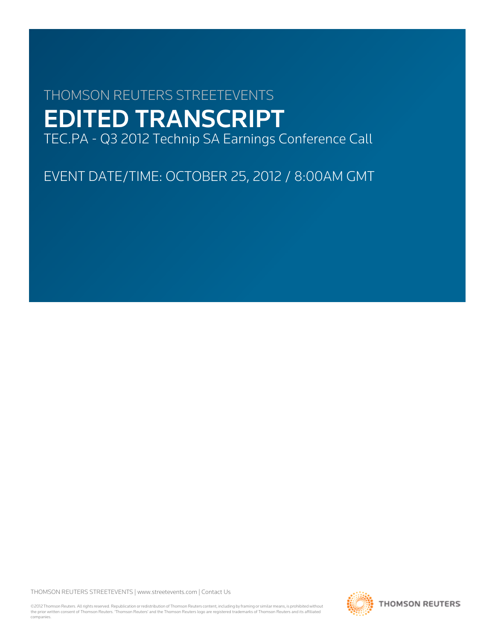# THOMSON REUTERS STREETEVENTS EDITED TRANSCRIPT TEC.PA - Q3 2012 Technip SA Earnings Conference Call

EVENT DATE/TIME: OCTOBER 25, 2012 / 8:00AM GMT

THOMSON REUTERS STREETEVENTS | [www.streetevents.com](http://www.streetevents.com) | [Contact Us](http://www010.streetevents.com/contact.asp)

©2012 Thomson Reuters. All rights reserved. Republication or redistribution of Thomson Reuters content, including by framing or similar means, is prohibited without the prior written consent of Thomson Reuters. 'Thomson Reuters' and the Thomson Reuters logo are registered trademarks of Thomson Reuters and its affiliated companies.

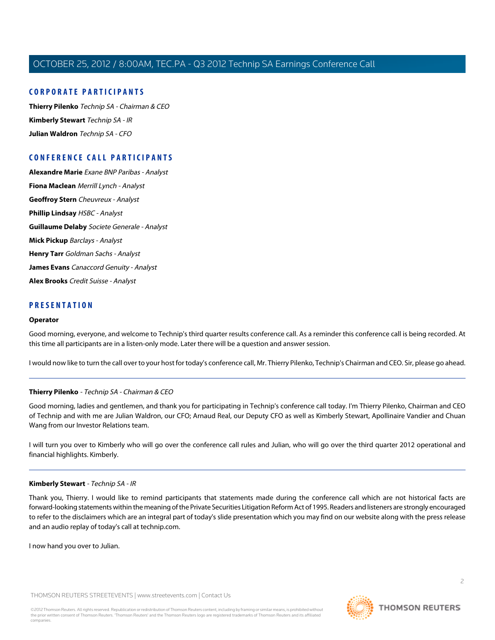# **CORPORATE PARTICIPANTS**

**[Thierry Pilenko](#page-1-0)** Technip SA - Chairman & CEO **[Kimberly Stewart](#page-1-1)** Technip SA - IR **[Julian Waldron](#page-2-0)** Technip SA - CFO

# **CONFERENCE CALL PARTICIPANTS**

**[Alexandre Marie](#page-5-0)** Exane BNP Paribas - Analyst **[Fiona Maclean](#page-6-0)** Merrill Lynch - Analyst **[Geoffroy Stern](#page-7-0)** Cheuvreux - Analyst **[Phillip Lindsay](#page-9-0)** HSBC - Analyst **[Guillaume Delaby](#page-11-0)** Societe Generale - Analyst **[Mick Pickup](#page-12-0)** Barclays - Analyst **[Henry Tarr](#page-13-0)** Goldman Sachs - Analyst **[James Evans](#page-15-0)** Canaccord Genuity - Analyst **[Alex Brooks](#page-17-0)** Credit Suisse - Analyst

# **PRESENTATION**

#### **Operator**

Good morning, everyone, and welcome to Technip's third quarter results conference call. As a reminder this conference call is being recorded. At this time all participants are in a listen-only mode. Later there will be a question and answer session.

<span id="page-1-0"></span>I would now like to turn the call over to your host for today's conference call, Mr. Thierry Pilenko, Technip's Chairman and CEO. Sir, please go ahead.

# **Thierry Pilenko** - Technip SA - Chairman & CEO

Good morning, ladies and gentlemen, and thank you for participating in Technip's conference call today. I'm Thierry Pilenko, Chairman and CEO of Technip and with me are Julian Waldron, our CFO; Arnaud Real, our Deputy CFO as well as Kimberly Stewart, Apollinaire Vandier and Chuan Wang from our Investor Relations team.

<span id="page-1-1"></span>I will turn you over to Kimberly who will go over the conference call rules and Julian, who will go over the third quarter 2012 operational and financial highlights. Kimberly.

# **Kimberly Stewart** - Technip SA - IR

Thank you, Thierry. I would like to remind participants that statements made during the conference call which are not historical facts are forward-looking statements within the meaning of the Private Securities Litigation Reform Act of 1995. Readers and listeners are strongly encouraged to refer to the disclaimers which are an integral part of today's slide presentation which you may find on our website along with the press release and an audio replay of today's call at technip.com.

I now hand you over to Julian.

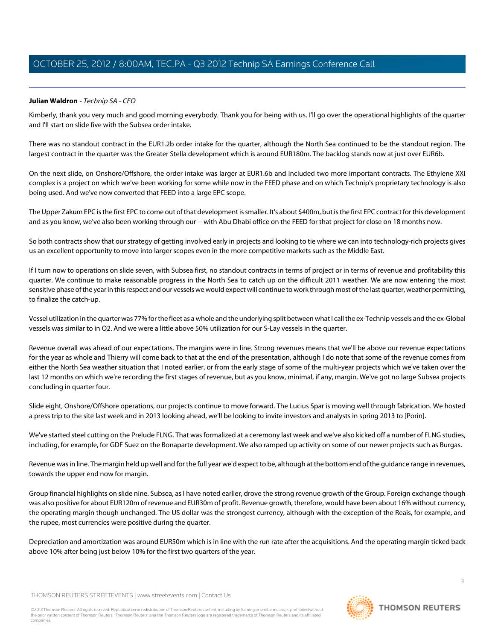<span id="page-2-0"></span>Kimberly, thank you very much and good morning everybody. Thank you for being with us. I'll go over the operational highlights of the quarter and I'll start on slide five with the Subsea order intake.

There was no standout contract in the EUR1.2b order intake for the quarter, although the North Sea continued to be the standout region. The largest contract in the quarter was the Greater Stella development which is around EUR180m. The backlog stands now at just over EUR6b.

On the next slide, on Onshore/Offshore, the order intake was larger at EUR1.6b and included two more important contracts. The Ethylene XXI complex is a project on which we've been working for some while now in the FEED phase and on which Technip's proprietary technology is also being used. And we've now converted that FEED into a large EPC scope.

The Upper Zakum EPC is the first EPC to come out of that development is smaller. It's about \$400m, but is the first EPC contract for this development and as you know, we've also been working through our -- with Abu Dhabi office on the FEED for that project for close on 18 months now.

So both contracts show that our strategy of getting involved early in projects and looking to tie where we can into technology-rich projects gives us an excellent opportunity to move into larger scopes even in the more competitive markets such as the Middle East.

If I turn now to operations on slide seven, with Subsea first, no standout contracts in terms of project or in terms of revenue and profitability this quarter. We continue to make reasonable progress in the North Sea to catch up on the difficult 2011 weather. We are now entering the most sensitive phase of the year in this respect and our vessels we would expect will continue to work through most of the last quarter, weather permitting, to finalize the catch-up.

Vessel utilization in the quarter was 77% for the fleet as a whole and the underlying split between what I call the ex-Technip vessels and the ex-Global vessels was similar to in Q2. And we were a little above 50% utilization for our S-Lay vessels in the quarter.

Revenue overall was ahead of our expectations. The margins were in line. Strong revenues means that we'll be above our revenue expectations for the year as whole and Thierry will come back to that at the end of the presentation, although I do note that some of the revenue comes from either the North Sea weather situation that I noted earlier, or from the early stage of some of the multi-year projects which we've taken over the last 12 months on which we're recording the first stages of revenue, but as you know, minimal, if any, margin. We've got no large Subsea projects concluding in quarter four.

Slide eight, Onshore/Offshore operations, our projects continue to move forward. The Lucius Spar is moving well through fabrication. We hosted a press trip to the site last week and in 2013 looking ahead, we'll be looking to invite investors and analysts in spring 2013 to [Porin].

We've started steel cutting on the Prelude FLNG. That was formalized at a ceremony last week and we've also kicked off a number of FLNG studies, including, for example, for GDF Suez on the Bonaparte development. We also ramped up activity on some of our newer projects such as Burgas.

Revenue was in line. The margin held up well and for the full year we'd expect to be, although at the bottom end of the guidance range in revenues, towards the upper end now for margin.

Group financial highlights on slide nine. Subsea, as I have noted earlier, drove the strong revenue growth of the Group. Foreign exchange though was also positive for about EUR120m of revenue and EUR30m of profit. Revenue growth, therefore, would have been about 16% without currency, the operating margin though unchanged. The US dollar was the strongest currency, although with the exception of the Reais, for example, and the rupee, most currencies were positive during the quarter.

Depreciation and amortization was around EUR50m which is in line with the run rate after the acquisitions. And the operating margin ticked back above 10% after being just below 10% for the first two quarters of the year.

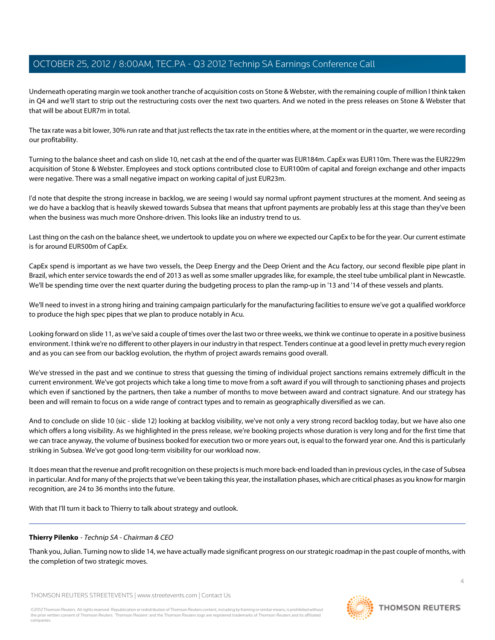Underneath operating margin we took another tranche of acquisition costs on Stone & Webster, with the remaining couple of million I think taken in Q4 and we'll start to strip out the restructuring costs over the next two quarters. And we noted in the press releases on Stone & Webster that that will be about EUR7m in total.

The tax rate was a bit lower, 30% run rate and that just reflects the tax rate in the entities where, at the moment or in the quarter, we were recording our profitability.

Turning to the balance sheet and cash on slide 10, net cash at the end of the quarter was EUR184m. CapEx was EUR110m. There was the EUR229m acquisition of Stone & Webster. Employees and stock options contributed close to EUR100m of capital and foreign exchange and other impacts were negative. There was a small negative impact on working capital of just EUR23m.

I'd note that despite the strong increase in backlog, we are seeing I would say normal upfront payment structures at the moment. And seeing as we do have a backlog that is heavily skewed towards Subsea that means that upfront payments are probably less at this stage than they've been when the business was much more Onshore-driven. This looks like an industry trend to us.

Last thing on the cash on the balance sheet, we undertook to update you on where we expected our CapEx to be for the year. Our current estimate is for around EUR500m of CapEx.

CapEx spend is important as we have two vessels, the Deep Energy and the Deep Orient and the Acu factory, our second flexible pipe plant in Brazil, which enter service towards the end of 2013 as well as some smaller upgrades like, for example, the steel tube umbilical plant in Newcastle. We'll be spending time over the next quarter during the budgeting process to plan the ramp-up in '13 and '14 of these vessels and plants.

We'll need to invest in a strong hiring and training campaign particularly for the manufacturing facilities to ensure we've got a qualified workforce to produce the high spec pipes that we plan to produce notably in Acu.

Looking forward on slide 11, as we've said a couple of times over the last two or three weeks, we think we continue to operate in a positive business environment. I think we're no different to other players in our industry in that respect. Tenders continue at a good level in pretty much every region and as you can see from our backlog evolution, the rhythm of project awards remains good overall.

We've stressed in the past and we continue to stress that guessing the timing of individual project sanctions remains extremely difficult in the current environment. We've got projects which take a long time to move from a soft award if you will through to sanctioning phases and projects which even if sanctioned by the partners, then take a number of months to move between award and contract signature. And our strategy has been and will remain to focus on a wide range of contract types and to remain as geographically diversified as we can.

And to conclude on slide 10 (sic - slide 12) looking at backlog visibility, we've not only a very strong record backlog today, but we have also one which offers a long visibility. As we highlighted in the press release, we're booking projects whose duration is very long and for the first time that we can trace anyway, the volume of business booked for execution two or more years out, is equal to the forward year one. And this is particularly striking in Subsea. We've got good long-term visibility for our workload now.

It does mean that the revenue and profit recognition on these projects is much more back-end loaded than in previous cycles, in the case of Subsea in particular. And for many of the projects that we've been taking this year, the installation phases, which are critical phases as you know for margin recognition, are 24 to 36 months into the future.

With that I'll turn it back to Thierry to talk about strategy and outlook.

# **Thierry Pilenko** - Technip SA - Chairman & CEO

Thank you, Julian. Turning now to slide 14, we have actually made significant progress on our strategic roadmap in the past couple of months, with the completion of two strategic moves.



 $\Delta$ 

**THOMSON REUTERS**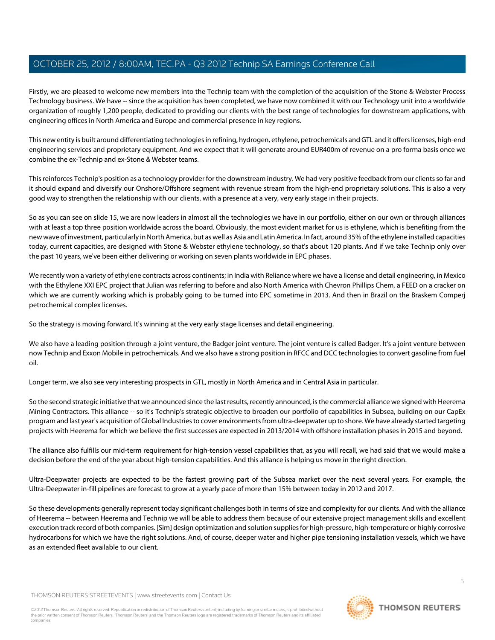Firstly, we are pleased to welcome new members into the Technip team with the completion of the acquisition of the Stone & Webster Process Technology business. We have -- since the acquisition has been completed, we have now combined it with our Technology unit into a worldwide organization of roughly 1,200 people, dedicated to providing our clients with the best range of technologies for downstream applications, with engineering offices in North America and Europe and commercial presence in key regions.

This new entity is built around differentiating technologies in refining, hydrogen, ethylene, petrochemicals and GTL and it offers licenses, high-end engineering services and proprietary equipment. And we expect that it will generate around EUR400m of revenue on a pro forma basis once we combine the ex-Technip and ex-Stone & Webster teams.

This reinforces Technip's position as a technology provider for the downstream industry. We had very positive feedback from our clients so far and it should expand and diversify our Onshore/Offshore segment with revenue stream from the high-end proprietary solutions. This is also a very good way to strengthen the relationship with our clients, with a presence at a very, very early stage in their projects.

So as you can see on slide 15, we are now leaders in almost all the technologies we have in our portfolio, either on our own or through alliances with at least a top three position worldwide across the board. Obviously, the most evident market for us is ethylene, which is benefiting from the new wave of investment, particularly in North America, but as well as Asia and Latin America. In fact, around 35% of the ethylene installed capacities today, current capacities, are designed with Stone & Webster ethylene technology, so that's about 120 plants. And if we take Technip only over the past 10 years, we've been either delivering or working on seven plants worldwide in EPC phases.

We recently won a variety of ethylene contracts across continents; in India with Reliance where we have a license and detail engineering, in Mexico with the Ethylene XXI EPC project that Julian was referring to before and also North America with Chevron Phillips Chem, a FEED on a cracker on which we are currently working which is probably going to be turned into EPC sometime in 2013. And then in Brazil on the Braskem Comperj petrochemical complex licenses.

So the strategy is moving forward. It's winning at the very early stage licenses and detail engineering.

We also have a leading position through a joint venture, the Badger joint venture. The joint venture is called Badger. It's a joint venture between now Technip and Exxon Mobile in petrochemicals. And we also have a strong position in RFCC and DCC technologies to convert gasoline from fuel oil.

Longer term, we also see very interesting prospects in GTL, mostly in North America and in Central Asia in particular.

So the second strategic initiative that we announced since the last results, recently announced, is the commercial alliance we signed with Heerema Mining Contractors. This alliance -- so it's Technip's strategic objective to broaden our portfolio of capabilities in Subsea, building on our CapEx program and last year's acquisition of Global Industries to cover environments from ultra-deepwater up to shore. We have already started targeting projects with Heerema for which we believe the first successes are expected in 2013/2014 with offshore installation phases in 2015 and beyond.

The alliance also fulfills our mid-term requirement for high-tension vessel capabilities that, as you will recall, we had said that we would make a decision before the end of the year about high-tension capabilities. And this alliance is helping us move in the right direction.

Ultra-Deepwater projects are expected to be the fastest growing part of the Subsea market over the next several years. For example, the Ultra-Deepwater in-fill pipelines are forecast to grow at a yearly pace of more than 15% between today in 2012 and 2017.

So these developments generally represent today significant challenges both in terms of size and complexity for our clients. And with the alliance of Heerema -- between Heerema and Technip we will be able to address them because of our extensive project management skills and excellent execution track record of both companies. [Sim] design optimization and solution supplies for high-pressure, high-temperature or highly corrosive hydrocarbons for which we have the right solutions. And, of course, deeper water and higher pipe tensioning installation vessels, which we have as an extended fleet available to our client.

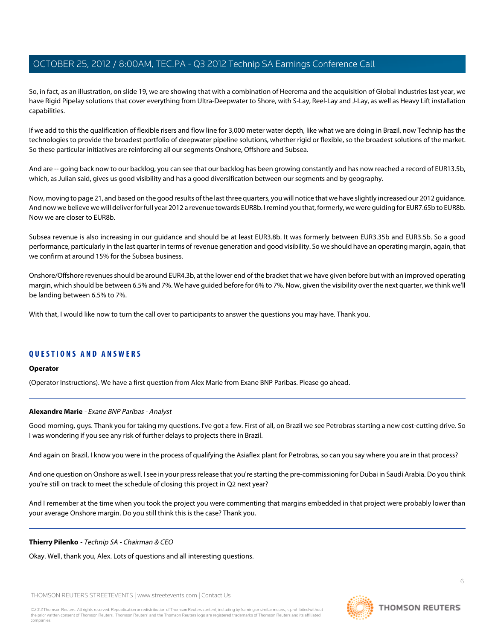So, in fact, as an illustration, on slide 19, we are showing that with a combination of Heerema and the acquisition of Global Industries last year, we have Rigid Pipelay solutions that cover everything from Ultra-Deepwater to Shore, with S-Lay, Reel-Lay and J-Lay, as well as Heavy Lift installation capabilities.

If we add to this the qualification of flexible risers and flow line for 3,000 meter water depth, like what we are doing in Brazil, now Technip has the technologies to provide the broadest portfolio of deepwater pipeline solutions, whether rigid or flexible, so the broadest solutions of the market. So these particular initiatives are reinforcing all our segments Onshore, Offshore and Subsea.

And are -- going back now to our backlog, you can see that our backlog has been growing constantly and has now reached a record of EUR13.5b, which, as Julian said, gives us good visibility and has a good diversification between our segments and by geography.

Now, moving to page 21, and based on the good results of the last three quarters, you will notice that we have slightly increased our 2012 guidance. And now we believe we will deliver for full year 2012 a revenue towards EUR8b. I remind you that, formerly, we were guiding for EUR7.65b to EUR8b. Now we are closer to EUR8b.

Subsea revenue is also increasing in our guidance and should be at least EUR3.8b. It was formerly between EUR3.35b and EUR3.5b. So a good performance, particularly in the last quarter in terms of revenue generation and good visibility. So we should have an operating margin, again, that we confirm at around 15% for the Subsea business.

Onshore/Offshore revenues should be around EUR4.3b, at the lower end of the bracket that we have given before but with an improved operating margin, which should be between 6.5% and 7%. We have guided before for 6% to 7%. Now, given the visibility over the next quarter, we think we'll be landing between 6.5% to 7%.

With that, I would like now to turn the call over to participants to answer the questions you may have. Thank you.

# **QUESTIONS AND ANSWERS**

# <span id="page-5-0"></span>**Operator**

(Operator Instructions). We have a first question from Alex Marie from Exane BNP Paribas. Please go ahead.

# **Alexandre Marie** - Exane BNP Paribas - Analyst

Good morning, guys. Thank you for taking my questions. I've got a few. First of all, on Brazil we see Petrobras starting a new cost-cutting drive. So I was wondering if you see any risk of further delays to projects there in Brazil.

And again on Brazil, I know you were in the process of qualifying the Asiaflex plant for Petrobras, so can you say where you are in that process?

And one question on Onshore as well. I see in your press release that you're starting the pre-commissioning for Dubai in Saudi Arabia. Do you think you're still on track to meet the schedule of closing this project in Q2 next year?

And I remember at the time when you took the project you were commenting that margins embedded in that project were probably lower than your average Onshore margin. Do you still think this is the case? Thank you.

# **Thierry Pilenko** - Technip SA - Chairman & CEO

Okay. Well, thank you, Alex. Lots of questions and all interesting questions.

THOMSON REUTERS STREETEVENTS | [www.streetevents.com](http://www.streetevents.com) | [Contact Us](http://www010.streetevents.com/contact.asp)

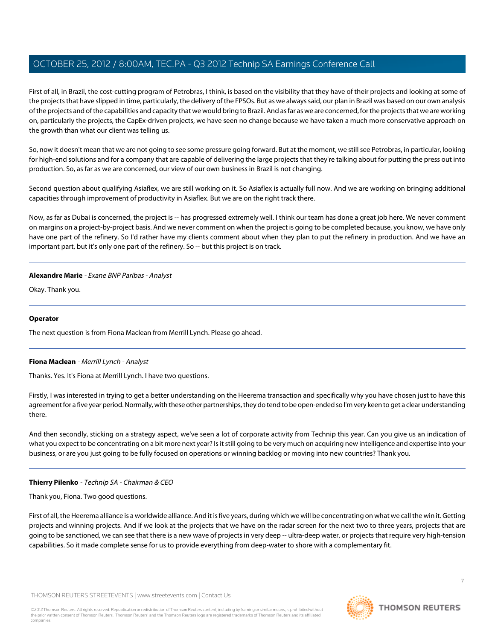First of all, in Brazil, the cost-cutting program of Petrobras, I think, is based on the visibility that they have of their projects and looking at some of the projects that have slipped in time, particularly, the delivery of the FPSOs. But as we always said, our plan in Brazil was based on our own analysis of the projects and of the capabilities and capacity that we would bring to Brazil. And as far as we are concerned, for the projects that we are working on, particularly the projects, the CapEx-driven projects, we have seen no change because we have taken a much more conservative approach on the growth than what our client was telling us.

So, now it doesn't mean that we are not going to see some pressure going forward. But at the moment, we still see Petrobras, in particular, looking for high-end solutions and for a company that are capable of delivering the large projects that they're talking about for putting the press out into production. So, as far as we are concerned, our view of our own business in Brazil is not changing.

Second question about qualifying Asiaflex, we are still working on it. So Asiaflex is actually full now. And we are working on bringing additional capacities through improvement of productivity in Asiaflex. But we are on the right track there.

Now, as far as Dubai is concerned, the project is -- has progressed extremely well. I think our team has done a great job here. We never comment on margins on a project-by-project basis. And we never comment on when the project is going to be completed because, you know, we have only have one part of the refinery. So I'd rather have my clients comment about when they plan to put the refinery in production. And we have an important part, but it's only one part of the refinery. So -- but this project is on track.

# **Alexandre Marie** - Exane BNP Paribas - Analyst

Okay. Thank you.

# **Operator**

<span id="page-6-0"></span>The next question is from Fiona Maclean from Merrill Lynch. Please go ahead.

# **Fiona Maclean** - Merrill Lynch - Analyst

Thanks. Yes. It's Fiona at Merrill Lynch. I have two questions.

Firstly, I was interested in trying to get a better understanding on the Heerema transaction and specifically why you have chosen just to have this agreement for a five year period. Normally, with these other partnerships, they do tend to be open-ended so I'm very keen to get a clear understanding there.

And then secondly, sticking on a strategy aspect, we've seen a lot of corporate activity from Technip this year. Can you give us an indication of what you expect to be concentrating on a bit more next year? Is it still going to be very much on acquiring new intelligence and expertise into your business, or are you just going to be fully focused on operations or winning backlog or moving into new countries? Thank you.

# **Thierry Pilenko** - Technip SA - Chairman & CEO

Thank you, Fiona. Two good questions.

First of all, the Heerema alliance is a worldwide alliance. And it is five years, during which we will be concentrating on what we call the win it. Getting projects and winning projects. And if we look at the projects that we have on the radar screen for the next two to three years, projects that are going to be sanctioned, we can see that there is a new wave of projects in very deep -- ultra-deep water, or projects that require very high-tension capabilities. So it made complete sense for us to provide everything from deep-water to shore with a complementary fit.

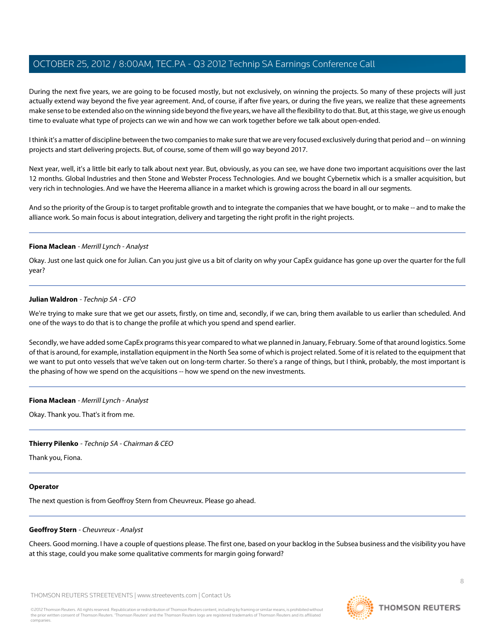During the next five years, we are going to be focused mostly, but not exclusively, on winning the projects. So many of these projects will just actually extend way beyond the five year agreement. And, of course, if after five years, or during the five years, we realize that these agreements make sense to be extended also on the winning side beyond the five years, we have all the flexibility to do that. But, at this stage, we give us enough time to evaluate what type of projects can we win and how we can work together before we talk about open-ended.

I think it's a matter of discipline between the two companies to make sure that we are very focused exclusively during that period and -- on winning projects and start delivering projects. But, of course, some of them will go way beyond 2017.

Next year, well, it's a little bit early to talk about next year. But, obviously, as you can see, we have done two important acquisitions over the last 12 months. Global Industries and then Stone and Webster Process Technologies. And we bought Cybernetix which is a smaller acquisition, but very rich in technologies. And we have the Heerema alliance in a market which is growing across the board in all our segments.

And so the priority of the Group is to target profitable growth and to integrate the companies that we have bought, or to make -- and to make the alliance work. So main focus is about integration, delivery and targeting the right profit in the right projects.

# **Fiona Maclean** - Merrill Lynch - Analyst

Okay. Just one last quick one for Julian. Can you just give us a bit of clarity on why your CapEx guidance has gone up over the quarter for the full year?

# **Julian Waldron** - Technip SA - CFO

We're trying to make sure that we get our assets, firstly, on time and, secondly, if we can, bring them available to us earlier than scheduled. And one of the ways to do that is to change the profile at which you spend and spend earlier.

Secondly, we have added some CapEx programs this year compared to what we planned in January, February. Some of that around logistics. Some of that is around, for example, installation equipment in the North Sea some of which is project related. Some of it is related to the equipment that we want to put onto vessels that we've taken out on long-term charter. So there's a range of things, but I think, probably, the most important is the phasing of how we spend on the acquisitions -- how we spend on the new investments.

# **Fiona Maclean** - Merrill Lynch - Analyst

Okay. Thank you. That's it from me.

# **Thierry Pilenko** - Technip SA - Chairman & CEO

Thank you, Fiona.

# <span id="page-7-0"></span>**Operator**

The next question is from Geoffroy Stern from Cheuvreux. Please go ahead.

# **Geoffroy Stern** - Cheuvreux - Analyst

Cheers. Good morning. I have a couple of questions please. The first one, based on your backlog in the Subsea business and the visibility you have at this stage, could you make some qualitative comments for margin going forward?

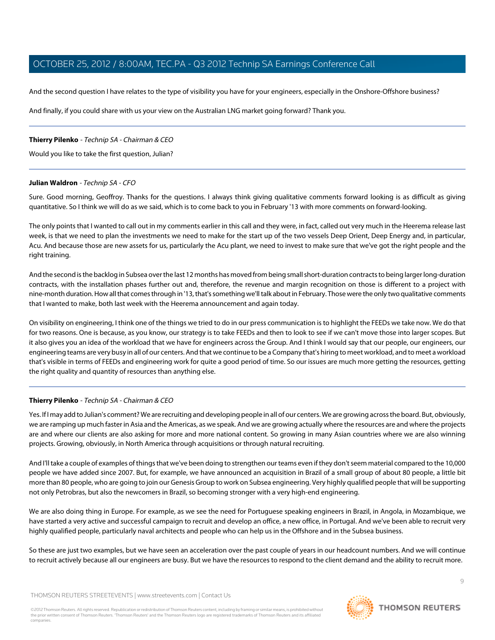And the second question I have relates to the type of visibility you have for your engineers, especially in the Onshore-Offshore business?

And finally, if you could share with us your view on the Australian LNG market going forward? Thank you.

# **Thierry Pilenko** - Technip SA - Chairman & CEO

Would you like to take the first question, Julian?

# **Julian Waldron** - Technip SA - CFO

Sure. Good morning, Geoffroy. Thanks for the questions. I always think giving qualitative comments forward looking is as difficult as giving quantitative. So I think we will do as we said, which is to come back to you in February '13 with more comments on forward-looking.

The only points that I wanted to call out in my comments earlier in this call and they were, in fact, called out very much in the Heerema release last week, is that we need to plan the investments we need to make for the start up of the two vessels Deep Orient, Deep Energy and, in particular, Acu. And because those are new assets for us, particularly the Acu plant, we need to invest to make sure that we've got the right people and the right training.

And the second is the backlog in Subsea over the last 12 months has moved from being small short-duration contracts to being larger long-duration contracts, with the installation phases further out and, therefore, the revenue and margin recognition on those is different to a project with nine-month duration. How all that comes through in '13, that's something we'll talk about in February. Those were the only two qualitative comments that I wanted to make, both last week with the Heerema announcement and again today.

On visibility on engineering, I think one of the things we tried to do in our press communication is to highlight the FEEDs we take now. We do that for two reasons. One is because, as you know, our strategy is to take FEEDs and then to look to see if we can't move those into larger scopes. But it also gives you an idea of the workload that we have for engineers across the Group. And I think I would say that our people, our engineers, our engineering teams are very busy in all of our centers. And that we continue to be a Company that's hiring to meet workload, and to meet a workload that's visible in terms of FEEDs and engineering work for quite a good period of time. So our issues are much more getting the resources, getting the right quality and quantity of resources than anything else.

# **Thierry Pilenko** - Technip SA - Chairman & CEO

Yes. If I may add to Julian's comment? We are recruiting and developing people in all of our centers. We are growing across the board. But, obviously, we are ramping up much faster in Asia and the Americas, as we speak. And we are growing actually where the resources are and where the projects are and where our clients are also asking for more and more national content. So growing in many Asian countries where we are also winning projects. Growing, obviously, in North America through acquisitions or through natural recruiting.

And I'll take a couple of examples of things that we've been doing to strengthen our teams even if they don't seem material compared to the 10,000 people we have added since 2007. But, for example, we have announced an acquisition in Brazil of a small group of about 80 people, a little bit more than 80 people, who are going to join our Genesis Group to work on Subsea engineering. Very highly qualified people that will be supporting not only Petrobras, but also the newcomers in Brazil, so becoming stronger with a very high-end engineering.

We are also doing thing in Europe. For example, as we see the need for Portuguese speaking engineers in Brazil, in Angola, in Mozambique, we have started a very active and successful campaign to recruit and develop an office, a new office, in Portugal. And we've been able to recruit very highly qualified people, particularly naval architects and people who can help us in the Offshore and in the Subsea business.

So these are just two examples, but we have seen an acceleration over the past couple of years in our headcount numbers. And we will continue to recruit actively because all our engineers are busy. But we have the resources to respond to the client demand and the ability to recruit more.

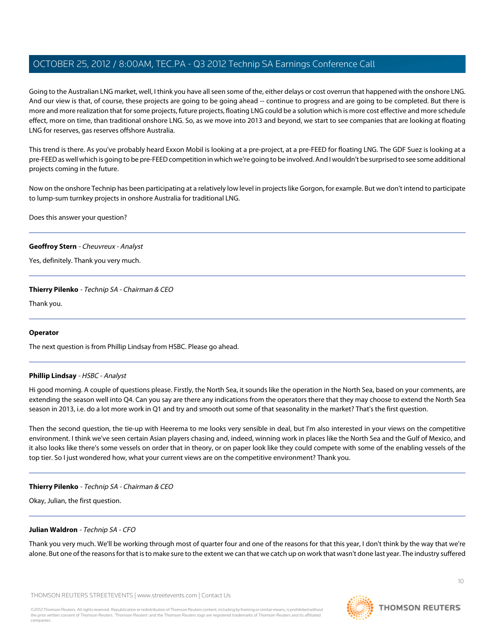Going to the Australian LNG market, well, I think you have all seen some of the, either delays or cost overrun that happened with the onshore LNG. And our view is that, of course, these projects are going to be going ahead -- continue to progress and are going to be completed. But there is more and more realization that for some projects, future projects, floating LNG could be a solution which is more cost effective and more schedule effect, more on time, than traditional onshore LNG. So, as we move into 2013 and beyond, we start to see companies that are looking at floating LNG for reserves, gas reserves offshore Australia.

This trend is there. As you've probably heard Exxon Mobil is looking at a pre-project, at a pre-FEED for floating LNG. The GDF Suez is looking at a pre-FEED as well which is going to be pre-FEED competition in which we're going to be involved. And I wouldn't be surprised to see some additional projects coming in the future.

Now on the onshore Technip has been participating at a relatively low level in projects like Gorgon, for example. But we don't intend to participate to lump-sum turnkey projects in onshore Australia for traditional LNG.

Does this answer your question?

# **Geoffroy Stern** - Cheuvreux - Analyst

Yes, definitely. Thank you very much.

# **Thierry Pilenko** - Technip SA - Chairman & CEO

Thank you.

# <span id="page-9-0"></span>**Operator**

The next question is from Phillip Lindsay from HSBC. Please go ahead.

# **Phillip Lindsay** - HSBC - Analyst

Hi good morning. A couple of questions please. Firstly, the North Sea, it sounds like the operation in the North Sea, based on your comments, are extending the season well into Q4. Can you say are there any indications from the operators there that they may choose to extend the North Sea season in 2013, i.e. do a lot more work in Q1 and try and smooth out some of that seasonality in the market? That's the first question.

Then the second question, the tie-up with Heerema to me looks very sensible in deal, but I'm also interested in your views on the competitive environment. I think we've seen certain Asian players chasing and, indeed, winning work in places like the North Sea and the Gulf of Mexico, and it also looks like there's some vessels on order that in theory, or on paper look like they could compete with some of the enabling vessels of the top tier. So I just wondered how, what your current views are on the competitive environment? Thank you.

# **Thierry Pilenko** - Technip SA - Chairman & CEO

Okay, Julian, the first question.

# **Julian Waldron** - Technip SA - CFO

Thank you very much. We'll be working through most of quarter four and one of the reasons for that this year, I don't think by the way that we're alone. But one of the reasons for that is to make sure to the extent we can that we catch up on work that wasn't done last year. The industry suffered

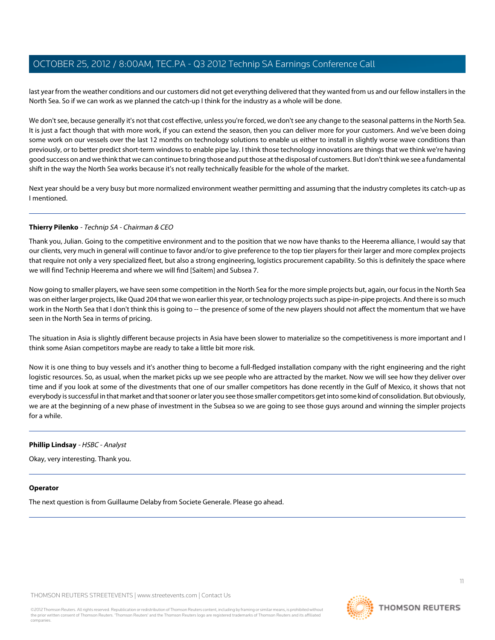last year from the weather conditions and our customers did not get everything delivered that they wanted from us and our fellow installers in the North Sea. So if we can work as we planned the catch-up I think for the industry as a whole will be done.

We don't see, because generally it's not that cost effective, unless you're forced, we don't see any change to the seasonal patterns in the North Sea. It is just a fact though that with more work, if you can extend the season, then you can deliver more for your customers. And we've been doing some work on our vessels over the last 12 months on technology solutions to enable us either to install in slightly worse wave conditions than previously, or to better predict short-term windows to enable pipe lay. I think those technology innovations are things that we think we're having good success on and we think that we can continue to bring those and put those at the disposal of customers. But I don't think we see a fundamental shift in the way the North Sea works because it's not really technically feasible for the whole of the market.

Next year should be a very busy but more normalized environment weather permitting and assuming that the industry completes its catch-up as I mentioned.

# **Thierry Pilenko** - Technip SA - Chairman & CEO

Thank you, Julian. Going to the competitive environment and to the position that we now have thanks to the Heerema alliance, I would say that our clients, very much in general will continue to favor and/or to give preference to the top tier players for their larger and more complex projects that require not only a very specialized fleet, but also a strong engineering, logistics procurement capability. So this is definitely the space where we will find Technip Heerema and where we will find [Saitem] and Subsea 7.

Now going to smaller players, we have seen some competition in the North Sea for the more simple projects but, again, our focus in the North Sea was on either larger projects, like Quad 204 that we won earlier this year, or technology projects such as pipe-in-pipe projects. And there is so much work in the North Sea that I don't think this is going to -- the presence of some of the new players should not affect the momentum that we have seen in the North Sea in terms of pricing.

The situation in Asia is slightly different because projects in Asia have been slower to materialize so the competitiveness is more important and I think some Asian competitors maybe are ready to take a little bit more risk.

Now it is one thing to buy vessels and it's another thing to become a full-fledged installation company with the right engineering and the right logistic resources. So, as usual, when the market picks up we see people who are attracted by the market. Now we will see how they deliver over time and if you look at some of the divestments that one of our smaller competitors has done recently in the Gulf of Mexico, it shows that not everybody is successful in that market and that sooner or later you see those smaller competitors get into some kind of consolidation. But obviously, we are at the beginning of a new phase of investment in the Subsea so we are going to see those guys around and winning the simpler projects for a while.

# **Phillip Lindsay** - HSBC - Analyst

Okay, very interesting. Thank you.

# **Operator**

The next question is from Guillaume Delaby from Societe Generale. Please go ahead.

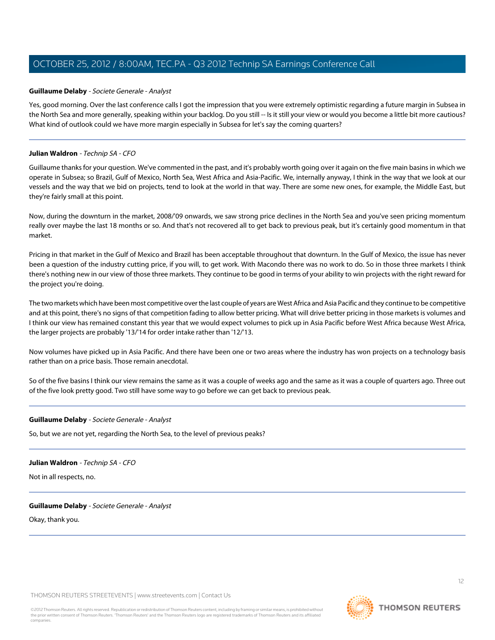# <span id="page-11-0"></span>**Guillaume Delaby** - Societe Generale - Analyst

Yes, good morning. Over the last conference calls I got the impression that you were extremely optimistic regarding a future margin in Subsea in the North Sea and more generally, speaking within your backlog. Do you still -- Is it still your view or would you become a little bit more cautious? What kind of outlook could we have more margin especially in Subsea for let's say the coming quarters?

# **Julian Waldron** - Technip SA - CFO

Guillaume thanks for your question. We've commented in the past, and it's probably worth going over it again on the five main basins in which we operate in Subsea; so Brazil, Gulf of Mexico, North Sea, West Africa and Asia-Pacific. We, internally anyway, I think in the way that we look at our vessels and the way that we bid on projects, tend to look at the world in that way. There are some new ones, for example, the Middle East, but they're fairly small at this point.

Now, during the downturn in the market, 2008/'09 onwards, we saw strong price declines in the North Sea and you've seen pricing momentum really over maybe the last 18 months or so. And that's not recovered all to get back to previous peak, but it's certainly good momentum in that market.

Pricing in that market in the Gulf of Mexico and Brazil has been acceptable throughout that downturn. In the Gulf of Mexico, the issue has never been a question of the industry cutting price, if you will, to get work. With Macondo there was no work to do. So in those three markets I think there's nothing new in our view of those three markets. They continue to be good in terms of your ability to win projects with the right reward for the project you're doing.

The two markets which have been most competitive over the last couple of years are West Africa and Asia Pacific and they continue to be competitive and at this point, there's no signs of that competition fading to allow better pricing. What will drive better pricing in those markets is volumes and I think our view has remained constant this year that we would expect volumes to pick up in Asia Pacific before West Africa because West Africa, the larger projects are probably '13/'14 for order intake rather than '12/'13.

Now volumes have picked up in Asia Pacific. And there have been one or two areas where the industry has won projects on a technology basis rather than on a price basis. Those remain anecdotal.

So of the five basins I think our view remains the same as it was a couple of weeks ago and the same as it was a couple of quarters ago. Three out of the five look pretty good. Two still have some way to go before we can get back to previous peak.

# **Guillaume Delaby** - Societe Generale - Analyst

So, but we are not yet, regarding the North Sea, to the level of previous peaks?

# **Julian Waldron** - Technip SA - CFO

Not in all respects, no.

# **Guillaume Delaby** - Societe Generale - Analyst

Okay, thank you.

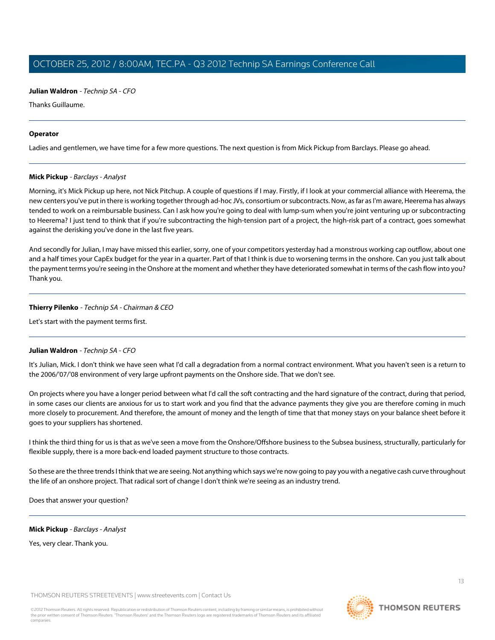Thanks Guillaume.

# **Operator**

<span id="page-12-0"></span>Ladies and gentlemen, we have time for a few more questions. The next question is from Mick Pickup from Barclays. Please go ahead.

# **Mick Pickup** - Barclays - Analyst

Morning, it's Mick Pickup up here, not Nick Pitchup. A couple of questions if I may. Firstly, if I look at your commercial alliance with Heerema, the new centers you've put in there is working together through ad-hoc JVs, consortium or subcontracts. Now, as far as I'm aware, Heerema has always tended to work on a reimbursable business. Can I ask how you're going to deal with lump-sum when you're joint venturing up or subcontracting to Heerema? I just tend to think that if you're subcontracting the high-tension part of a project, the high-risk part of a contract, goes somewhat against the derisking you've done in the last five years.

And secondly for Julian, I may have missed this earlier, sorry, one of your competitors yesterday had a monstrous working cap outflow, about one and a half times your CapEx budget for the year in a quarter. Part of that I think is due to worsening terms in the onshore. Can you just talk about the payment terms you're seeing in the Onshore at the moment and whether they have deteriorated somewhat in terms of the cash flow into you? Thank you.

# **Thierry Pilenko** - Technip SA - Chairman & CEO

Let's start with the payment terms first.

# **Julian Waldron** - Technip SA - CFO

It's Julian, Mick. I don't think we have seen what I'd call a degradation from a normal contract environment. What you haven't seen is a return to the 2006/'07/'08 environment of very large upfront payments on the Onshore side. That we don't see.

On projects where you have a longer period between what I'd call the soft contracting and the hard signature of the contract, during that period, in some cases our clients are anxious for us to start work and you find that the advance payments they give you are therefore coming in much more closely to procurement. And therefore, the amount of money and the length of time that that money stays on your balance sheet before it goes to your suppliers has shortened.

I think the third thing for us is that as we've seen a move from the Onshore/Offshore business to the Subsea business, structurally, particularly for flexible supply, there is a more back-end loaded payment structure to those contracts.

So these are the three trends I think that we are seeing. Not anything which says we're now going to pay you with a negative cash curve throughout the life of an onshore project. That radical sort of change I don't think we're seeing as an industry trend.

Does that answer your question?

# **Mick Pickup** - Barclays - Analyst

Yes, very clear. Thank you.

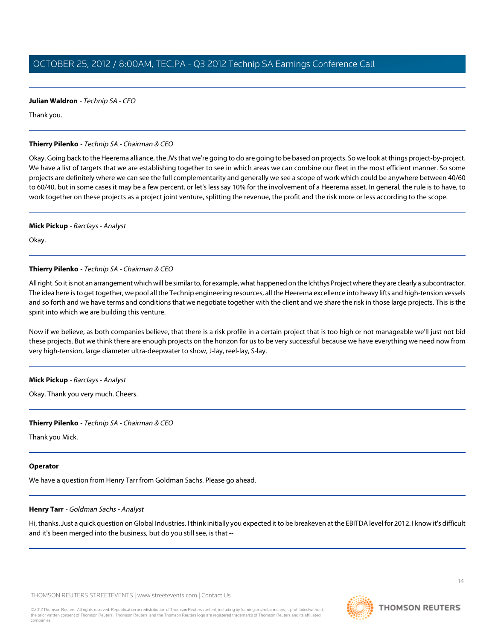Thank you.

# **Thierry Pilenko** - Technip SA - Chairman & CEO

Okay. Going back to the Heerema alliance, the JVs that we're going to do are going to be based on projects. So we look at things project-by-project. We have a list of targets that we are establishing together to see in which areas we can combine our fleet in the most efficient manner. So some projects are definitely where we can see the full complementarity and generally we see a scope of work which could be anywhere between 40/60 to 60/40, but in some cases it may be a few percent, or let's less say 10% for the involvement of a Heerema asset. In general, the rule is to have, to work together on these projects as a project joint venture, splitting the revenue, the profit and the risk more or less according to the scope.

# **Mick Pickup** - Barclays - Analyst

Okay.

# **Thierry Pilenko** - Technip SA - Chairman & CEO

All right. So it is not an arrangement which will be similar to, for example, what happened on the Ichthys Project where they are clearly a subcontractor. The idea here is to get together, we pool all the Technip engineering resources, all the Heerema excellence into heavy lifts and high-tension vessels and so forth and we have terms and conditions that we negotiate together with the client and we share the risk in those large projects. This is the spirit into which we are building this venture.

Now if we believe, as both companies believe, that there is a risk profile in a certain project that is too high or not manageable we'll just not bid these projects. But we think there are enough projects on the horizon for us to be very successful because we have everything we need now from very high-tension, large diameter ultra-deepwater to show, J-lay, reel-lay, S-lay.

# **Mick Pickup** - Barclays - Analyst

Okay. Thank you very much. Cheers.

# **Thierry Pilenko** - Technip SA - Chairman & CEO

Thank you Mick.

# <span id="page-13-0"></span>**Operator**

We have a question from Henry Tarr from Goldman Sachs. Please go ahead.

# **Henry Tarr** - Goldman Sachs - Analyst

Hi, thanks. Just a quick question on Global Industries. I think initially you expected it to be breakeven at the EBITDA level for 2012. I know it's difficult and it's been merged into the business, but do you still see, is that --

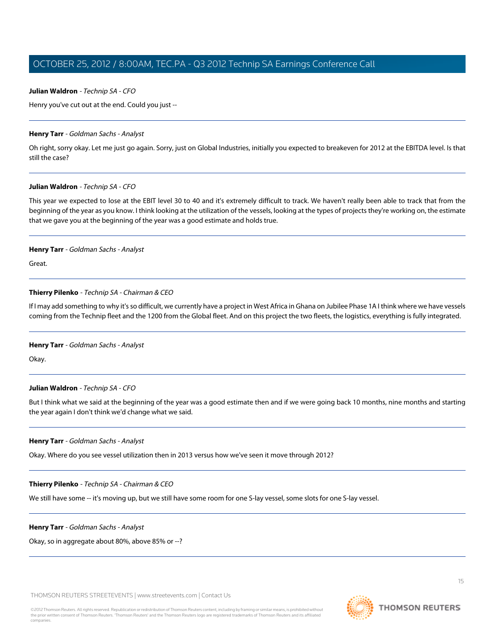Henry you've cut out at the end. Could you just --

# **Henry Tarr** - Goldman Sachs - Analyst

Oh right, sorry okay. Let me just go again. Sorry, just on Global Industries, initially you expected to breakeven for 2012 at the EBITDA level. Is that still the case?

# **Julian Waldron** - Technip SA - CFO

This year we expected to lose at the EBIT level 30 to 40 and it's extremely difficult to track. We haven't really been able to track that from the beginning of the year as you know. I think looking at the utilization of the vessels, looking at the types of projects they're working on, the estimate that we gave you at the beginning of the year was a good estimate and holds true.

# **Henry Tarr** - Goldman Sachs - Analyst

Great.

# **Thierry Pilenko** - Technip SA - Chairman & CEO

If I may add something to why it's so difficult, we currently have a project in West Africa in Ghana on Jubilee Phase 1A I think where we have vessels coming from the Technip fleet and the 1200 from the Global fleet. And on this project the two fleets, the logistics, everything is fully integrated.

# **Henry Tarr** - Goldman Sachs - Analyst

Okay.

# **Julian Waldron** - Technip SA - CFO

But I think what we said at the beginning of the year was a good estimate then and if we were going back 10 months, nine months and starting the year again I don't think we'd change what we said.

# **Henry Tarr** - Goldman Sachs - Analyst

Okay. Where do you see vessel utilization then in 2013 versus how we've seen it move through 2012?

# **Thierry Pilenko** - Technip SA - Chairman & CEO

We still have some -- it's moving up, but we still have some room for one S-lay vessel, some slots for one S-lay vessel.

# **Henry Tarr** - Goldman Sachs - Analyst

Okay, so in aggregate about 80%, above 85% or --?

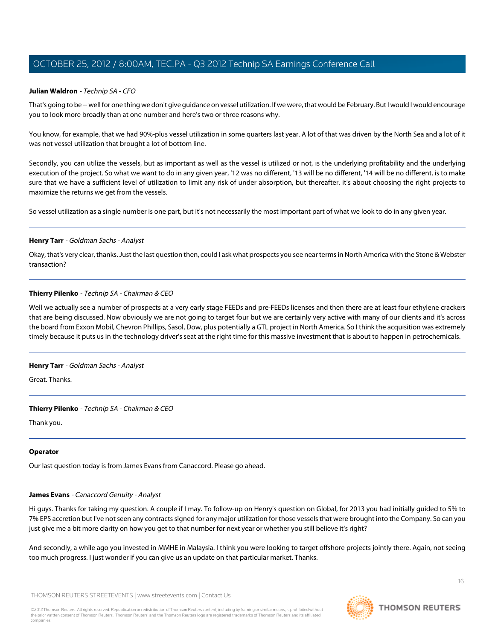# **Julian Waldron** - Technip SA - CFO

That's going to be -- well for one thing we don't give guidance on vessel utilization. If we were, that would be February. But I would I would encourage you to look more broadly than at one number and here's two or three reasons why.

You know, for example, that we had 90%-plus vessel utilization in some quarters last year. A lot of that was driven by the North Sea and a lot of it was not vessel utilization that brought a lot of bottom line.

Secondly, you can utilize the vessels, but as important as well as the vessel is utilized or not, is the underlying profitability and the underlying execution of the project. So what we want to do in any given year, '12 was no different, '13 will be no different, '14 will be no different, is to make sure that we have a sufficient level of utilization to limit any risk of under absorption, but thereafter, it's about choosing the right projects to maximize the returns we get from the vessels.

So vessel utilization as a single number is one part, but it's not necessarily the most important part of what we look to do in any given year.

# **Henry Tarr** - Goldman Sachs - Analyst

Okay, that's very clear, thanks. Just the last question then, could I ask what prospects you see near terms in North America with the Stone & Webster transaction?

# **Thierry Pilenko** - Technip SA - Chairman & CEO

Well we actually see a number of prospects at a very early stage FEEDs and pre-FEEDs licenses and then there are at least four ethylene crackers that are being discussed. Now obviously we are not going to target four but we are certainly very active with many of our clients and it's across the board from Exxon Mobil, Chevron Phillips, Sasol, Dow, plus potentially a GTL project in North America. So I think the acquisition was extremely timely because it puts us in the technology driver's seat at the right time for this massive investment that is about to happen in petrochemicals.

# **Henry Tarr** - Goldman Sachs - Analyst

Great. Thanks.

# **Thierry Pilenko** - Technip SA - Chairman & CEO

Thank you.

# <span id="page-15-0"></span>**Operator**

Our last question today is from James Evans from Canaccord. Please go ahead.

# **James Evans** - Canaccord Genuity - Analyst

Hi guys. Thanks for taking my question. A couple if I may. To follow-up on Henry's question on Global, for 2013 you had initially guided to 5% to 7% EPS accretion but I've not seen any contracts signed for any major utilization for those vessels that were brought into the Company. So can you just give me a bit more clarity on how you get to that number for next year or whether you still believe it's right?

And secondly, a while ago you invested in MMHE in Malaysia. I think you were looking to target offshore projects jointly there. Again, not seeing too much progress. I just wonder if you can give us an update on that particular market. Thanks.

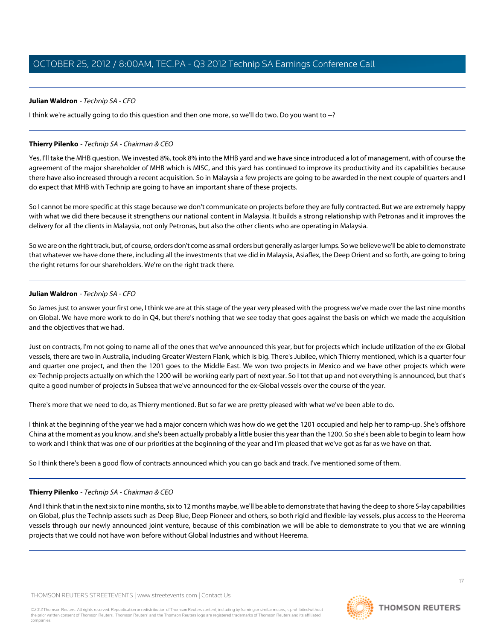I think we're actually going to do this question and then one more, so we'll do two. Do you want to --?

# **Thierry Pilenko** - Technip SA - Chairman & CEO

Yes, I'll take the MHB question. We invested 8%, took 8% into the MHB yard and we have since introduced a lot of management, with of course the agreement of the major shareholder of MHB which is MISC, and this yard has continued to improve its productivity and its capabilities because there have also increased through a recent acquisition. So in Malaysia a few projects are going to be awarded in the next couple of quarters and I do expect that MHB with Technip are going to have an important share of these projects.

So I cannot be more specific at this stage because we don't communicate on projects before they are fully contracted. But we are extremely happy with what we did there because it strengthens our national content in Malaysia. It builds a strong relationship with Petronas and it improves the delivery for all the clients in Malaysia, not only Petronas, but also the other clients who are operating in Malaysia.

So we are on the right track, but, of course, orders don't come as small orders but generally as larger lumps. So we believe we'll be able to demonstrate that whatever we have done there, including all the investments that we did in Malaysia, Asiaflex, the Deep Orient and so forth, are going to bring the right returns for our shareholders. We're on the right track there.

# **Julian Waldron** - Technip SA - CFO

So James just to answer your first one, I think we are at this stage of the year very pleased with the progress we've made over the last nine months on Global. We have more work to do in Q4, but there's nothing that we see today that goes against the basis on which we made the acquisition and the objectives that we had.

Just on contracts, I'm not going to name all of the ones that we've announced this year, but for projects which include utilization of the ex-Global vessels, there are two in Australia, including Greater Western Flank, which is big. There's Jubilee, which Thierry mentioned, which is a quarter four and quarter one project, and then the 1201 goes to the Middle East. We won two projects in Mexico and we have other projects which were ex-Technip projects actually on which the 1200 will be working early part of next year. So I tot that up and not everything is announced, but that's quite a good number of projects in Subsea that we've announced for the ex-Global vessels over the course of the year.

There's more that we need to do, as Thierry mentioned. But so far we are pretty pleased with what we've been able to do.

I think at the beginning of the year we had a major concern which was how do we get the 1201 occupied and help her to ramp-up. She's offshore China at the moment as you know, and she's been actually probably a little busier this year than the 1200. So she's been able to begin to learn how to work and I think that was one of our priorities at the beginning of the year and I'm pleased that we've got as far as we have on that.

So I think there's been a good flow of contracts announced which you can go back and track. I've mentioned some of them.

# **Thierry Pilenko** - Technip SA - Chairman & CEO

And I think that in the next six to nine months, six to 12 months maybe, we'll be able to demonstrate that having the deep to shore S-lay capabilities on Global, plus the Technip assets such as Deep Blue, Deep Pioneer and others, so both rigid and flexible-lay vessels, plus access to the Heerema vessels through our newly announced joint venture, because of this combination we will be able to demonstrate to you that we are winning projects that we could not have won before without Global Industries and without Heerema.

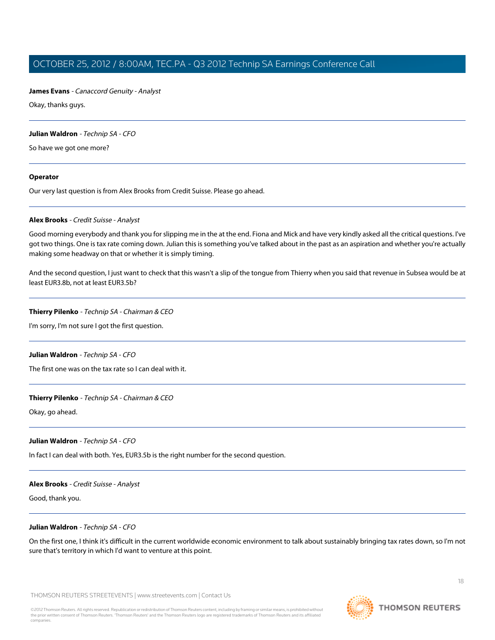# **James Evans** - Canaccord Genuity - Analyst

Okay, thanks guys.

# **Julian Waldron** - Technip SA - CFO

So have we got one more?

# **Operator**

<span id="page-17-0"></span>Our very last question is from Alex Brooks from Credit Suisse. Please go ahead.

# **Alex Brooks** - Credit Suisse - Analyst

Good morning everybody and thank you for slipping me in the at the end. Fiona and Mick and have very kindly asked all the critical questions. I've got two things. One is tax rate coming down. Julian this is something you've talked about in the past as an aspiration and whether you're actually making some headway on that or whether it is simply timing.

And the second question, I just want to check that this wasn't a slip of the tongue from Thierry when you said that revenue in Subsea would be at least EUR3.8b, not at least EUR3.5b?

# **Thierry Pilenko** - Technip SA - Chairman & CEO

I'm sorry, I'm not sure I got the first question.

# **Julian Waldron** - Technip SA - CFO

The first one was on the tax rate so I can deal with it.

# **Thierry Pilenko** - Technip SA - Chairman & CEO

Okay, go ahead.

# **Julian Waldron** - Technip SA - CFO

In fact I can deal with both. Yes, EUR3.5b is the right number for the second question.

# **Alex Brooks** - Credit Suisse - Analyst

Good, thank you.

# **Julian Waldron** - Technip SA - CFO

On the first one, I think it's difficult in the current worldwide economic environment to talk about sustainably bringing tax rates down, so I'm not sure that's territory in which I'd want to venture at this point.